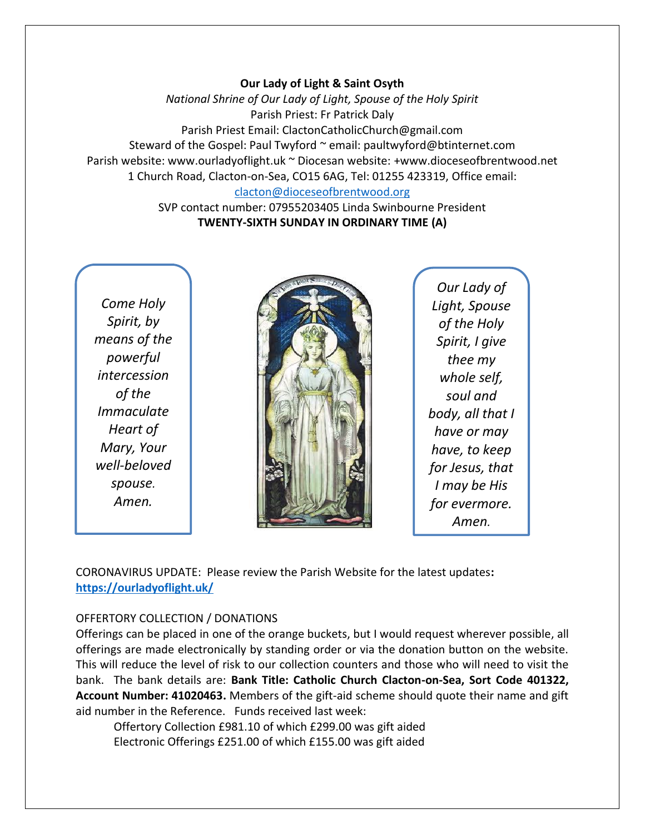#### **Our Lady of Light & Saint Osyth**

*National Shrine of Our Lady of Light, Spouse of the Holy Spirit* Parish Priest: Fr Patrick Daly Parish Priest Email: ClactonCatholicChurch@gmail.com Steward of the Gospel: Paul Twyford ~ email: paultwyford@btinternet.com Parish website: www.ourladyoflight.uk ~ Diocesan website: +www.dioceseofbrentwood.net 1 Church Road, Clacton-on-Sea, CO15 6AG, Tel: 01255 423319, Office email: [clacton@dioceseofbrentwood.org](mailto:clacton@dioceseofbrentwood.org)

> SVP contact number: 07955203405 Linda Swinbourne President **TWENTY-SIXTH SUNDAY IN ORDINARY TIME (A)**

*Come Holy Spirit, by means of the powerful intercession of the Immaculate Heart of Mary, Your well-beloved spouse. Amen.*



*Our Lady of Light, Spouse of the Holy Spirit, I give thee my whole self, soul and body, all that I have or may have, to keep for Jesus, that I may be His for evermore. Amen.*

CORONAVIRUS UPDATE: Please review the Parish Website for the latest updates**: <https://ourladyoflight.uk/>**

### OFFERTORY COLLECTION / DONATIONS

Offerings can be placed in one of the orange buckets, but I would request wherever possible, all offerings are made electronically by standing order or via the donation button on the website. This will reduce the level of risk to our collection counters and those who will need to visit the bank. The bank details are: **Bank Title: Catholic Church Clacton-on-Sea, Sort Code 401322, Account Number: 41020463.** Members of the gift-aid scheme should quote their name and gift aid number in the Reference. Funds received last week:

Offertory Collection £981.10 of which £299.00 was gift aided Electronic Offerings £251.00 of which £155.00 was gift aided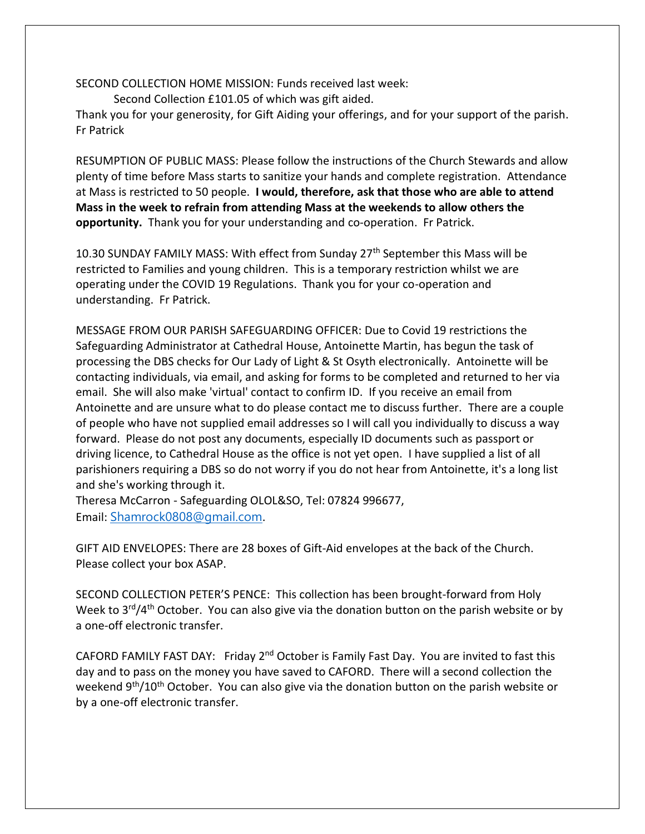SECOND COLLECTION HOME MISSION: Funds received last week:

Second Collection £101.05 of which was gift aided.

Thank you for your generosity, for Gift Aiding your offerings, and for your support of the parish. Fr Patrick

RESUMPTION OF PUBLIC MASS: Please follow the instructions of the Church Stewards and allow plenty of time before Mass starts to sanitize your hands and complete registration. Attendance at Mass is restricted to 50 people. **I would, therefore, ask that those who are able to attend Mass in the week to refrain from attending Mass at the weekends to allow others the opportunity.** Thank you for your understanding and co-operation. Fr Patrick.

10.30 SUNDAY FAMILY MASS: With effect from Sunday 27th September this Mass will be restricted to Families and young children. This is a temporary restriction whilst we are operating under the COVID 19 Regulations. Thank you for your co-operation and understanding. Fr Patrick.

MESSAGE FROM OUR PARISH SAFEGUARDING OFFICER: Due to Covid 19 restrictions the Safeguarding Administrator at Cathedral House, Antoinette Martin, has begun the task of processing the DBS checks for Our Lady of Light & St Osyth electronically. Antoinette will be contacting individuals, via email, and asking for forms to be completed and returned to her via email. She will also make 'virtual' contact to confirm ID. If you receive an email from Antoinette and are unsure what to do please contact me to discuss further. There are a couple of people who have not supplied email addresses so I will call you individually to discuss a way forward. Please do not post any documents, especially ID documents such as passport or driving licence, to Cathedral House as the office is not yet open. I have supplied a list of all parishioners requiring a DBS so do not worry if you do not hear from Antoinette, it's a long list and she's working through it.

Theresa McCarron - Safeguarding OLOL&SO, Tel: 07824 996677, Email: [Shamrock0808@gmail.com](mailto:Shamrock0808@gmail.com).

GIFT AID ENVELOPES: There are 28 boxes of Gift-Aid envelopes at the back of the Church. Please collect your box ASAP.

SECOND COLLECTION PETER'S PENCE: This collection has been brought-forward from Holy Week to  $3<sup>rd</sup>/4<sup>th</sup>$  October. You can also give via the donation button on the parish website or by a one-off electronic transfer.

CAFORD FAMILY FAST DAY: Friday 2nd October is Family Fast Day. You are invited to fast this day and to pass on the money you have saved to CAFORD. There will a second collection the weekend 9<sup>th</sup>/10<sup>th</sup> October. You can also give via the donation button on the parish website or by a one-off electronic transfer.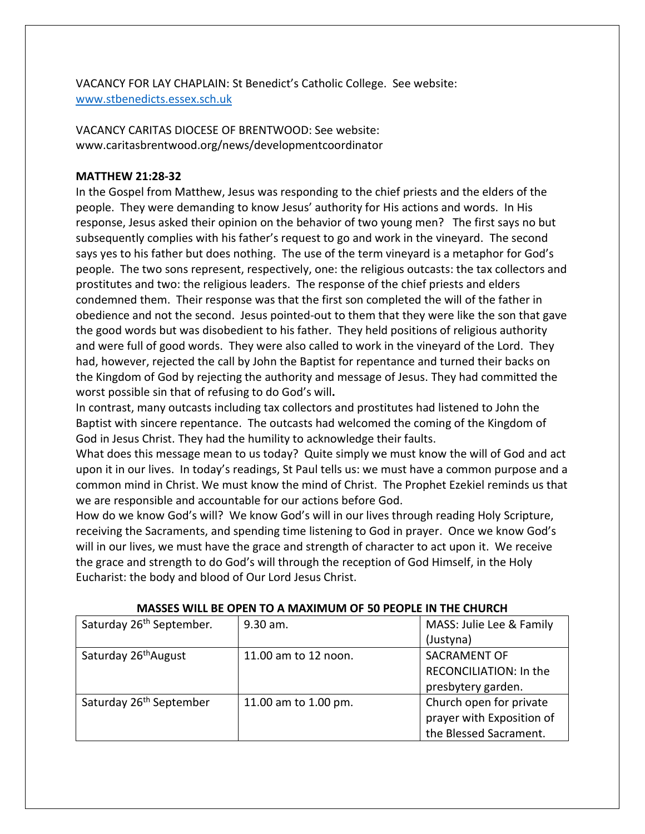VACANCY FOR LAY CHAPLAIN: St Benedict's Catholic College. See website: [www.stbenedicts.essex.sch.uk](http://www.stbenedicts.essex.sch.uk/)

VACANCY CARITAS DIOCESE OF BRENTWOOD: See website: www.caritasbrentwood.org/news/developmentcoordinator

### **MATTHEW 21:28-32**

In the Gospel from Matthew, Jesus was responding to the chief priests and the elders of the people. They were demanding to know Jesus' authority for His actions and words. In His response, Jesus asked their opinion on the behavior of two young men? The first says no but subsequently complies with his father's request to go and work in the vineyard. The second says yes to his father but does nothing. The use of the term vineyard is a metaphor for God's people. The two sons represent, respectively, one: the religious outcasts: the tax collectors and prostitutes and two: the religious leaders. The response of the chief priests and elders condemned them. Their response was that the first son completed the will of the father in obedience and not the second. Jesus pointed-out to them that they were like the son that gave the good words but was disobedient to his father. They held positions of religious authority and were full of good words. They were also called to work in the vineyard of the Lord. They had, however, rejected the call by John the Baptist for repentance and turned their backs on the Kingdom of God by rejecting the authority and message of Jesus. They had committed the worst possible sin that of refusing to do God's will**.**

In contrast, many outcasts including tax collectors and prostitutes had listened to John the Baptist with sincere repentance. The outcasts had welcomed the coming of the Kingdom of God in Jesus Christ. They had the humility to acknowledge their faults.

What does this message mean to us today? Quite simply we must know the will of God and act upon it in our lives. In today's readings, St Paul tells us: we must have a common purpose and a common mind in Christ. We must know the mind of Christ. The Prophet Ezekiel reminds us that we are responsible and accountable for our actions before God.

How do we know God's will?We know God's will in our lives through reading Holy Scripture, receiving the Sacraments, and spending time listening to God in prayer. Once we know God's will in our lives, we must have the grace and strength of character to act upon it. We receive the grace and strength to do God's will through the reception of God Himself, in the Holy Eucharist: the body and blood of Our Lord Jesus Christ.

| IVIASSES WILL DE UPEN TU A IVIAAIIVIUM UF 30 PEUPLE IN THE CHUNCH |                      |                               |  |
|-------------------------------------------------------------------|----------------------|-------------------------------|--|
| Saturday 26 <sup>th</sup> September.                              | $9.30$ am.           | MASS: Julie Lee & Family      |  |
|                                                                   |                      | (Justyna)                     |  |
| Saturday 26 <sup>th</sup> August                                  | 11.00 am to 12 noon. | <b>SACRAMENT OF</b>           |  |
|                                                                   |                      | <b>RECONCILIATION: In the</b> |  |
|                                                                   |                      | presbytery garden.            |  |
| Saturday 26 <sup>th</sup> September                               | 11.00 am to 1.00 pm. | Church open for private       |  |
|                                                                   |                      | prayer with Exposition of     |  |
|                                                                   |                      | the Blessed Sacrament.        |  |

## **MASSES WILL BE OPEN TO A MAXIMUM OF 50 PEOPLE IN THE CHURCH**